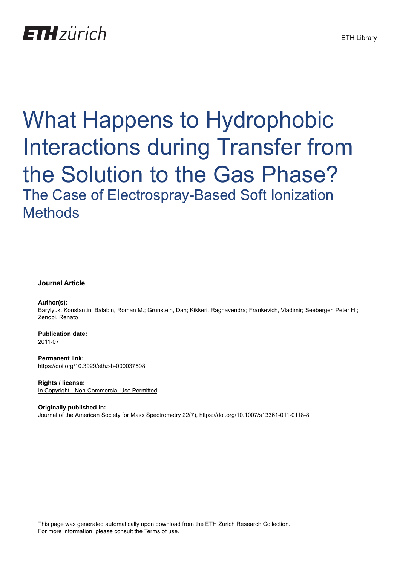# **ETH** zürich

# What Happens to Hydrophobic Interactions during Transfer from the Solution to the Gas Phase? The Case of Electrospray-Based Soft Ionization **Methods**

#### **Journal Article**

#### **Author(s):**

Barylyuk, Konstantin; Balabin, Roman M.; Grünstein, Dan; Kikkeri, Raghavendra; Frankevich, Vladimir; Seeberger, Peter H.; Zenobi, Renato

**Publication date:** 2011-07

**Permanent link:** <https://doi.org/10.3929/ethz-b-000037598>

**Rights / license:** [In Copyright - Non-Commercial Use Permitted](http://rightsstatements.org/page/InC-NC/1.0/)

**Originally published in:** Journal of the American Society for Mass Spectrometry 22(7), <https://doi.org/10.1007/s13361-011-0118-8>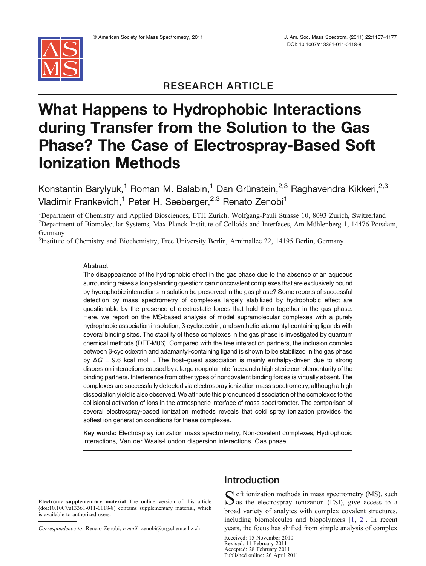

# RESEARCH ARTICLE

# What Happens to Hydrophobic Interactions during Transfer from the Solution to the Gas Phase? The Case of Electrospray-Based Soft Ionization Methods

Konstantin Barylyuk,<sup>1</sup> Roman M. Balabin,<sup>1</sup> Dan Grünstein,<sup>2,3</sup> Raghavendra Kikkeri,<sup>2,3</sup> Vladimir Frankevich,<sup>1</sup> Peter H. Seeberger,<sup>2,3</sup> Renato Zenobi<sup>1</sup>

<sup>1</sup>Department of Chemistry and Applied Biosciences, ETH Zurich, Wolfgang-Pauli Strasse 10, 8093 Zurich, Switzerland <sup>2</sup>Department of Biomolecular Systems, Max Planck Institute of Colloids and Interfaces, Am Mühlenberg 1, 14476 Potsdam, Germany

<sup>3</sup>Institute of Chemistry and Biochemistry, Free University Berlin, Arnimallee 22, 14195 Berlin, Germany

#### Abstract

The disappearance of the hydrophobic effect in the gas phase due to the absence of an aqueous surrounding raises a long-standing question: can noncovalent complexes that are exclusively bound by hydrophobic interactions in solution be preserved in the gas phase? Some reports of successful detection by mass spectrometry of complexes largely stabilized by hydrophobic effect are questionable by the presence of electrostatic forces that hold them together in the gas phase. Here, we report on the MS-based analysis of model supramolecular complexes with a purely hydrophobic association in solution, β-cyclodextrin, and synthetic adamantyl-containing ligands with several binding sites. The stability of these complexes in the gas phase is investigated by quantum chemical methods (DFT-M06). Compared with the free interaction partners, the inclusion complex between β-cyclodextrin and adamantyl-containing ligand is shown to be stabilized in the gas phase by  $\Delta G = 9.6$  kcal mol<sup>-1</sup>. The host–guest association is mainly enthalpy-driven due to strong dispersion interactions caused by a large nonpolar interface and a high steric complementarity of the binding partners. Interference from other types of noncovalent binding forces is virtually absent. The complexes are successfully detected via electrospray ionization mass spectrometry, although a high dissociation yield is also observed. We attribute this pronounced dissociation of the complexes to the collisional activation of ions in the atmospheric interface of mass spectrometer. The comparison of several electrospray-based ionization methods reveals that cold spray ionization provides the softest ion generation conditions for these complexes.

Key words: Electrospray ionization mass spectrometry, Non-covalent complexes, Hydrophobic interactions, Van der Waals-London dispersion interactions, Gas phase

Electronic supplementary material The online version of this article  $(doi:10.1007/s13361-011-0118-8)$  $(doi:10.1007/s13361-011-0118-8)$  $(doi:10.1007/s13361-011-0118-8)$  contains supplementary material, which is available to authorized users.

# **Introduction**

Soft ionization methods in mass spectrometry (MS), such as the electrospray ionization (ESI), give access to a broad variety of analytes with complex covalent structures, including biomolecules and biopolymers [[1,](#page-10-0) [2](#page-10-0)]. In recent years, the focus has shifted from simple analysis of complex

Received: 15 November 2010 Revised: 11 February 2011 Accepted: 28 February 2011 Published online: 26 April 2011

Correspondence to: Renato Zenobi; e-mail: zenobi@org.chem.ethz.ch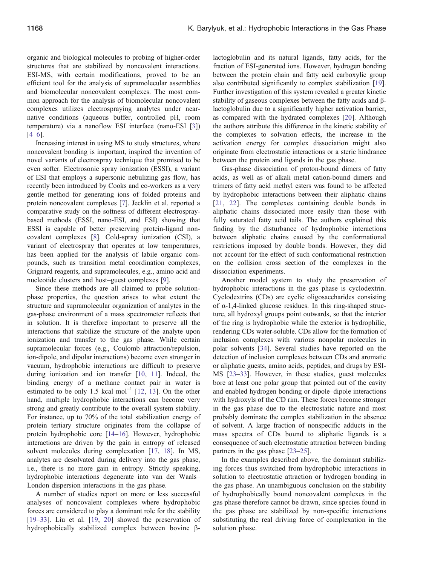organic and biological molecules to probing of higher-order structures that are stabilized by noncovalent interactions. ESI-MS, with certain modifications, proved to be an efficient tool for the analysis of supramolecular assemblies and biomolecular noncovalent complexes. The most common approach for the analysis of biomolecular noncovalent complexes utilizes electrospraying analytes under nearnative conditions (aqueous buffer, controlled pH, room temperature) via a nanoflow ESI interface (nano-ESI [\[3](#page-10-0)]) [\[4](#page-10-0)–[6](#page-10-0)].

Increasing interest in using MS to study structures, where noncovalent bonding is important, inspired the invention of novel variants of electrospray technique that promised to be even softer. Electrosonic spray ionization (ESSI), a variant of ESI that employs a supersonic nebulizing gas flow, has recently been introduced by Cooks and co-workers as a very gentle method for generating ions of folded proteins and protein noncovalent complexes [\[7](#page-10-0)]. Jecklin et al. reported a comparative study on the softness of different electrospraybased methods (ESSI, nano-ESI, and ESI) showing that ESSI is capable of better preserving protein-ligand noncovalent complexes [\[8](#page-10-0)]. Cold-spray ionization (CSI), a variant of electrospray that operates at low temperatures, has been applied for the analysis of labile organic compounds, such as transition metal coordination complexes, Grignard reagents, and supramolecules, e.g., amino acid and nucleotide clusters and host–guest complexes [[9\]](#page-10-0).

Since these methods are all claimed to probe solutionphase properties, the question arises to what extent the structure and supramolecular organization of analytes in the gas-phase environment of a mass spectrometer reflects that in solution. It is therefore important to preserve all the interactions that stabilize the structure of the analyte upon ionization and transfer to the gas phase. While certain supramolecular forces (e.g., Coulomb attraction/repulsion, ion-dipole, and dipolar interactions) become even stronger in vacuum, hydrophobic interactions are difficult to preserve during ionization and ion transfer [[10,](#page-10-0) [11](#page-10-0)]. Indeed, the binding energy of a methane contact pair in water is estimated to be only 1.5 kcal mol<sup>-1</sup> [[12,](#page-10-0) [13](#page-10-0)]. On the other hand, multiple hydrophobic interactions can become very strong and greatly contribute to the overall system stability. For instance, up to 70% of the total stabilization energy of protein tertiary structure originates from the collapse of protein hydrophobic core [[14](#page-10-0)–[16\]](#page-10-0). However, hydrophobic interactions are driven by the gain in entropy of released solvent molecules during complexation [[17,](#page-10-0) [18\]](#page-10-0). In MS, analytes are desolvated during delivery into the gas phase, i.e., there is no more gain in entropy. Strictly speaking, hydrophobic interactions degenerate into van der Waals– London dispersion interactions in the gas phase.

A number of studies report on more or less successful analyses of noncovalent complexes where hydrophobic forces are considered to play a dominant role for the stability [\[19](#page-10-0)–[33](#page-11-0)]. Liu et al. [\[19](#page-10-0), [20](#page-10-0)] showed the preservation of hydrophobically stabilized complex between bovine βlactoglobulin and its natural ligands, fatty acids, for the fraction of ESI-generated ions. However, hydrogen bonding between the protein chain and fatty acid carboxylic group also contributed significantly to complex stabilization [\[19](#page-10-0)]. Further investigation of this system revealed a greater kinetic stability of gaseous complexes between the fatty acids and βlactoglobulin due to a significantly higher activation barrier, as compared with the hydrated complexes [\[20](#page-10-0)]. Although the authors attribute this difference in the kinetic stability of the complexes to solvation effects, the increase in the activation energy for complex dissociation might also originate from electrostatic interactions or a steric hindrance between the protein and ligands in the gas phase.

Gas-phase dissociation of proton-bound dimers of fatty acids, as well as of alkali metal cation-bound dimers and trimers of fatty acid methyl esters was found to be affected by hydrophobic interactions between their aliphatic chains [\[21,](#page-10-0) [22](#page-10-0)]. The complexes containing double bonds in aliphatic chains dissociated more easily than those with fully saturated fatty acid tails. The authors explained this finding by the disturbance of hydrophobic interactions between aliphatic chains caused by the conformational restrictions imposed by double bonds. However, they did not account for the effect of such conformational restriction on the collision cross section of the complexes in the dissociation experiments.

Another model system to study the preservation of hydrophobic interactions in the gas phase is cyclodextrin. Cyclodextrins (CDs) are cyclic oligosaccharides consisting of α-1,4-linked glucose residues. In this ring-shaped structure, all hydroxyl groups point outwards, so that the interior of the ring is hydrophobic while the exterior is hydrophilic, rendering CDs water-soluble. CDs allow for the formation of inclusion complexes with various nonpolar molecules in polar solvents [[34\]](#page-11-0). Several studies have reported on the detection of inclusion complexes between CDs and aromatic or aliphatic guests, amino acids, peptides, and drugs by ESI-MS [[23](#page-11-0)–[33\]](#page-11-0). However, in these studies, guest molecules bore at least one polar group that pointed out of the cavity and enabled hydrogen bonding or dipole–dipole interactions with hydroxyls of the CD rim. These forces become stronger in the gas phase due to the electrostatic nature and most probably dominate the complex stabilization in the absence of solvent. A large fraction of nonspecific adducts in the mass spectra of CDs bound to aliphatic ligands is a consequence of such electrostatic attraction between binding partners in the gas phase [[23](#page-11-0)–[25\]](#page-11-0).

In the examples described above, the dominant stabilizing forces thus switched from hydrophobic interactions in solution to electrostatic attraction or hydrogen bonding in the gas phase. An unambiguous conclusion on the stability of hydrophobically bound noncovalent complexes in the gas phase therefore cannot be drawn, since species found in the gas phase are stabilized by non-specific interactions substituting the real driving force of complexation in the solution phase.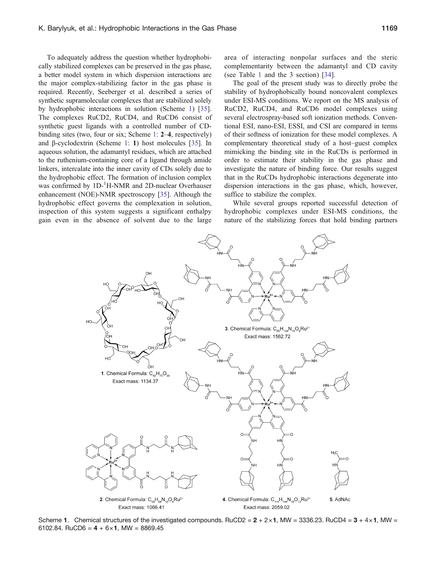<span id="page-3-0"></span>To adequately address the question whether hydrophobically stabilized complexes can be preserved in the gas phase, a better model system in which dispersion interactions are the major complex-stabilizing factor in the gas phase is required. Recently, Seeberger et al. described a series of synthetic supramolecular complexes that are stabilized solely by hydrophobic interactions in solution (Scheme 1) [\[35](#page-11-0)]. The complexes RuCD2, RuCD4, and RuCD6 consist of synthetic guest ligands with a controlled number of CDbinding sites (two, four or six; Scheme 1: 2–4, respectively) and β-cyclodextrin (Scheme 1: 1) host molecules [\[35](#page-11-0)]. In aqueous solution, the adamantyl residues, which are attached to the ruthenium-containing core of a ligand through amide linkers, intercalate into the inner cavity of CDs solely due to the hydrophobic effect. The formation of inclusion complex was confirmed by 1D-<sup>1</sup>H-NMR and 2D-nuclear Overhauser enhancement (NOE)-NMR spectroscopy [[35\]](#page-11-0). Although the hydrophobic effect governs the complexation in solution, inspection of this system suggests a significant enthalpy gain even in the absence of solvent due to the large

area of interacting nonpolar surfaces and the steric complementarity between the adamantyl and CD cavity (see Table [1](#page-5-0) and the 3 section) [\[34\]](#page-11-0).

The goal of the present study was to directly probe the stability of hydrophobically bound noncovalent complexes under ESI-MS conditions. We report on the MS analysis of RuCD2, RuCD4, and RuCD6 model complexes using several electrospray-based soft ionization methods. Conventional ESI, nano-ESI, ESSI, and CSI are compared in terms of their softness of ionization for these model complexes. A complementary theoretical study of a host–guest complex mimicking the binding site in the RuCDs is performed in order to estimate their stability in the gas phase and investigate the nature of binding force. Our results suggest that in the RuCDs hydrophobic interactions degenerate into dispersion interactions in the gas phase, which, however, suffice to stabilize the complex.

While several groups reported successful detection of hydrophobic complexes under ESI-MS conditions, the nature of the stabilizing forces that hold binding partners



Scheme 1. Chemical structures of the investigated compounds. RuCD2 =  $2 + 2 \times 1$ , MW = 3336.23. RuCD4 =  $3 + 4 \times 1$ , MW = 6102.84. RuCD6 =  $4 + 6 \times 1$ , MW = 8869.45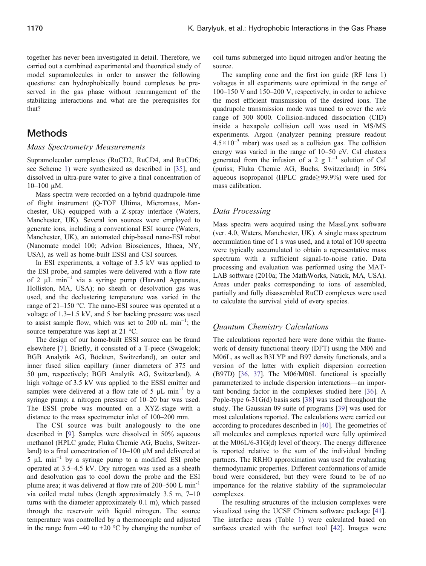together has never been investigated in detail. Therefore, we carried out a combined experimental and theoretical study of model supramolecules in order to answer the following questions: can hydrophobically bound complexes be preserved in the gas phase without rearrangement of the stabilizing interactions and what are the prerequisites for that?

# Methods

#### Mass Spectrometry Measurements

Supramolecular complexes (RuCD2, RuCD4, and RuCD6; see Scheme [1](#page-3-0)) were synthesized as described in [[35\]](#page-11-0), and dissolved in ultra-pure water to give a final concentration of  $10-100 \mu M$ .

Mass spectra were recorded on a hybrid quadrupole-time of flight instrument (Q-TOF Ultima, Micromass, Manchester, UK) equipped with a Z-spray interface (Waters, Manchester, UK). Several ion sources were employed to generate ions, including a conventional ESI source (Waters, Manchester, UK), an automated chip-based nano-ESI robot (Nanomate model 100; Advion Biosciences, Ithaca, NY, USA), as well as home-built ESSI and CSI sources.

In ESI experiments, a voltage of 3.5 kV was applied to the ESI probe, and samples were delivered with a flow rate of 2  $\mu$ L min<sup>-1</sup> via a syringe pump (Harvard Apparatus, Holliston, MA, USA); no sheath or desolvation gas was used, and the declustering temperature was varied in the range of 21–150 °C. The nano-ESI source was operated at a voltage of 1.3–1.5 kV, and 5 bar backing pressure was used to assist sample flow, which was set to 200 nL min<sup>-1</sup>; the source temperature was kept at 21 °C.

The design of our home-built ESSI source can be found elsewhere [\[7](#page-10-0)]. Briefly, it consisted of a T-piece (Swagelok; BGB Analytik AG, Böckten, Switzerland), an outer and inner fused silica capillary (inner diameters of 375 and 50 μm, respectively; BGB Analytik AG, Switzerland). A high voltage of 3.5 kV was applied to the ESSI emitter and samples were delivered at a flow rate of 5  $\mu$ L min<sup>-1</sup> by a syringe pump; a nitrogen pressure of 10–20 bar was used. The ESSI probe was mounted on a XYZ-stage with a distance to the mass spectrometer inlet of 100–200 mm.

The CSI source was built analogously to the one described in [\[9](#page-10-0)]. Samples were dissolved in 50% aqueous methanol (HPLC grade; Fluka Chemie AG, Buchs, Switzerland) to a final concentration of 10–100 μM and delivered at  $5 \mu L \text{ min}^{-1}$  by a syringe pump to a modified ESI probe operated at 3.5–4.5 kV. Dry nitrogen was used as a sheath and desolvation gas to cool down the probe and the ESI plume area; it was delivered at flow rate of 200–500 L min-1 via coiled metal tubes (length approximately 3.5 m, 7–10 turns with the diameter approximately 0.1 m), which passed through the reservoir with liquid nitrogen. The source temperature was controlled by a thermocouple and adjusted in the range from  $-40$  to  $+20$  °C by changing the number of coil turns submerged into liquid nitrogen and/or heating the source.

The sampling cone and the first ion guide (RF lens 1) voltages in all experiments were optimized in the range of 100–150 V and 150–200 V, respectively, in order to achieve the most efficient transmission of the desired ions. The quadrupole transmission mode was tuned to cover the  $m/z$ range of 300–8000. Collision-induced dissociation (CID) inside a hexapole collision cell was used in MS/MS experiments. Argon (analyzer penning pressure readout  $4.5 \times 10^{-5}$  mbar) was used as a collision gas. The collision energy was varied in the range of 10–50 eV. CsI clusters generated from the infusion of a 2 g  $L^{-1}$  solution of CsI (puriss; Fluka Chemie AG, Buchs, Switzerland) in 50% aqueous isopropanol (HPLC grade≥99.9%) were used for mass calibration.

#### Data Processing

Mass spectra were acquired using the MassLynx software (ver. 4.0, Waters, Manchester, UK). A single mass spectrum accumulation time of 1 s was used, and a total of 100 spectra were typically accumulated to obtain a representative mass spectrum with a sufficient signal-to-noise ratio. Data processing and evaluation was performed using the MAT-LAB software (2010a; The MathWorks, Natick, MA, USA). Areas under peaks corresponding to ions of assembled, partially and fully disassembled RuCD complexes were used to calculate the survival yield of every species.

#### Quantum Chemistry Calculations

The calculations reported here were done within the framework of density functional theory (DFT) using the M06 and M06L, as well as B3LYP and B97 density functionals, and a version of the latter with explicit dispersion correction (B97D) [[36,](#page-11-0) [37](#page-11-0)]. The M06/M06L functional is specially parameterized to include dispersion interactions—an important bonding factor in the complexes studied here [[36\]](#page-11-0). A Pople-type 6-31G(d) basis sets [\[38](#page-11-0)] was used throughout the study. The Gaussian 09 suite of programs [\[39\]](#page-11-0) was used for most calculations reported. The calculations were carried out according to procedures described in [[40\]](#page-11-0). The geometries of all molecules and complexes reported were fully optimized at the M06L/6-31G(d) level of theory. The energy difference is reported relative to the sum of the individual binding partners. The RRHO approximation was used for evaluating thermodynamic properties. Different conformations of amide bond were considered, but they were found to be of no importance for the relative stability of the supramolecular complexes.

The resulting structures of the inclusion complexes were visualized using the UCSF Chimera software package [\[41](#page-11-0)]. The interface areas (Table [1\)](#page-5-0) were calculated based on surfaces created with the surfnet tool [[42\]](#page-11-0). Images were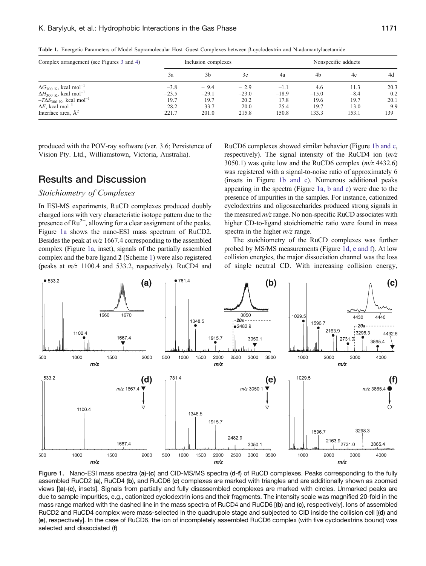| Inclusion complexes |                             |         | Nonspecific adducts |         |         |        |
|---------------------|-----------------------------|---------|---------------------|---------|---------|--------|
| 3a                  | 3 <sub>b</sub>              | 3c      | 4a                  | 4b      | 4c      | 4d     |
| $-3.8$              | $-9.4$                      | $-2.9$  | $-1.1$              | 4.6     | 11.3    | 20.3   |
|                     | $-29.1$                     | $-23.0$ | $-18.9$             | $-15.0$ | $-8.4$  | 0.2    |
| 19.7                | 19.7                        | 20.2    | 17.8                | 19.6    | 19.7    | 20.1   |
|                     | $-33.7$                     | $-20.0$ | $-25.4$             | $-19.7$ | $-13.0$ | $-9.9$ |
|                     | 201.0                       | 215.8   | 150.8               | 133.3   | 153.1   | 139    |
|                     | $-23.5$<br>$-28.2$<br>221.7 |         |                     |         |         |        |

<span id="page-5-0"></span>Table 1. Energetic Parameters of Model Supramolecular Host–Guest Complexes between β-cyclodextrin and N-adamantylacetamide

produced with the POV-ray software (ver. 3.6; Persistence of Vision Pty. Ltd., Williamstown, Victoria, Australia).

### Results and Discussion

#### Stoichiometry of Complexes

In ESI-MS experiments, RuCD complexes produced doubly charged ions with very characteristic isotope pattern due to the presence of  $Ru^{2+}$ , allowing for a clear assignment of the peaks. Figure 1a shows the nano-ESI mass spectrum of RuCD2. Besides the peak at  $m/z$  1667.4 corresponding to the assembled complex (Figure 1a, inset), signals of the partially assembled complex and the bare ligand 2 (Scheme [1\)](#page-3-0) were also registered (peaks at  $m/z$  1100.4 and 533.2, respectively). RuCD4 and

RuCD6 complexes showed similar behavior (Figure 1b and c, respectively). The signal intensity of the RuCD4 ion  $(m/z)$ 3050.1) was quite low and the RuCD6 complex  $(m/z 4432.6)$ was registered with a signal-to-noise ratio of approximately 6 (insets in Figure 1b and c). Numerous additional peaks appearing in the spectra (Figure 1a, b and c) were due to the presence of impurities in the samples. For instance, cationized cyclodextrins and oligosaccharides produced strong signals in the measured  $m/z$  range. No non-specific RuCD associates with higher CD-to-ligand stoichiometric ratio were found in mass spectra in the higher  $m/z$  range.

The stoichiometry of the RuCD complexes was further probed by MS/MS measurements (Figure 1d, e and f). At low collision energies, the major dissociation channel was the loss of single neutral CD. With increasing collision energy,



Figure 1. Nano-ESI mass spectra (a)-(c) and CID-MS/MS spectra (d-f) of RuCD complexes. Peaks corresponding to the fully assembled RuCD2 (a), RuCD4 (b), and RuCD6 (c) complexes are marked with triangles and are additionally shown as zoomed views [(a)-(c), insets]. Signals from partially and fully disassembled complexes are marked with circles. Unmarked peaks are due to sample impurities, e.g., cationized cyclodextrin ions and their fragments. The intensity scale was magnified 20-fold in the mass range marked with the dashed line in the mass spectra of RuCD4 and RuCD6 [(b) and (c), respectively]. Ions of assembled RuCD2 and RuCD4 complex were mass-selected in the quadrupole stage and subjected to CID inside the collision cell [(d) and (e), respectively]. In the case of RuCD6, the ion of incompletely assembled RuCD6 complex (with five cyclodextrins bound) was selected and dissociated (f)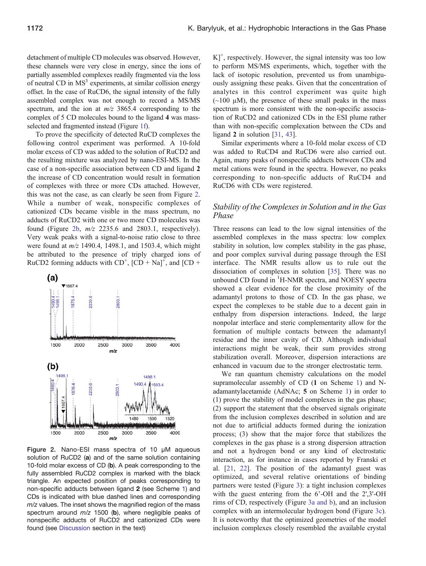detachment of multiple CD molecules was observed. However, these channels were very close in energy, since the ions of partially assembled complexes readily fragmented via the loss of neutral CD in  $MS<sup>3</sup>$  experiments, at similar collision energy offset. In the case of RuCD6, the signal intensity of the fully assembled complex was not enough to record a MS/MS spectrum, and the ion at  $m/z$  3865.4 corresponding to the complex of 5 CD molecules bound to the ligand 4 was massselected and fragmented instead (Figure [1f\)](#page-5-0).

To prove the specificity of detected RuCD complexes the following control experiment was performed. A 10-fold molar excess of CD was added to the solution of RuCD2 and the resulting mixture was analyzed by nano-ESI-MS. In the case of a non-specific association between CD and ligand 2 the increase of CD concentration would result in formation of complexes with three or more CDs attached. However, this was not the case, as can clearly be seen from Figure 2. While a number of weak, nonspecific complexes of cationized CDs became visible in the mass spectrum, no adducts of RuCD2 with one or two more CD molecules was found (Figure 2b,  $m/z$  2235.6 and 2803.1, respectively). Very weak peaks with a signal-to-noise ratio close to three were found at m/z 1490.4, 1498.1, and 1503.4, which might be attributed to the presence of triply charged ions of RuCD2 forming adducts with  $CD^+$ ,  $[CD + Na]<sup>+</sup>$ , and  $[CD +$ 



Figure 2. Nano-ESI mass spectra of 10 μM aqueous solution of RuCD2 (a) and of the same solution containing 10-fold molar excess of CD (b). A peak corresponding to the fully assembled RuCD2 complex is marked with the black triangle. An expected position of peaks corresponding to non-specific adducts between ligand 2 (see Scheme [1](#page-3-0)) and CDs is indicated with blue dashed lines and corresponding  $m/z$  values. The inset shows the magnified region of the mass spectrum around  $m/z$  1500 (b), where negligible peaks of nonspecific adducts of RuCD2 and cationized CDs were found (see [Discussion](#page-5-0) section in the text)

K]<sup>+</sup> , respectively. However, the signal intensity was too low to perform MS/MS experiments, which, together with the lack of isotopic resolution, prevented us from unambiguously assigning these peaks. Given that the concentration of analytes in this control experiment was quite high  $(\sim 100 \mu M)$ , the presence of these small peaks in the mass spectrum is more consistent with the non-specific association of RuCD2 and cationized CDs in the ESI plume rather than with non-specific complexation between the CDs and ligand 2 in solution [[31,](#page-11-0) [43](#page-11-0)].

Similar experiments where a 10-fold molar excess of CD was added to RuCD4 and RuCD6 were also carried out. Again, many peaks of nonspecific adducts between CDs and metal cations were found in the spectra. However, no peaks corresponding to non-specific adducts of RuCD4 and RuCD6 with CDs were registered.

#### Stability of the Complexes in Solution and in the Gas Phase

Three reasons can lead to the low signal intensities of the assembled complexes in the mass spectra: low complex stability in solution, low complex stability in the gas phase, and poor complex survival during passage through the ESI interface. The NMR results allow us to rule out the dissociation of complexes in solution [[35\]](#page-11-0). There was no unbound CD found in <sup>1</sup>H-NMR spectra, and NOESY spectra showed a clear evidence for the close proximity of the adamantyl protons to those of CD. In the gas phase, we expect the complexes to be stable due to a decent gain in enthalpy from dispersion interactions. Indeed, the large nonpolar interface and steric complementarity allow for the formation of multiple contacts between the adamantyl residue and the inner cavity of CD. Although individual interactions might be weak, their sum provides strong stabilization overall. Moreover, dispersion interactions are enhanced in vacuum due to the stronger electrostatic term.

We ran quantum chemistry calculations on the model supramolecular assembly of CD  $(1 \text{ on Scheme } 1)$  $(1 \text{ on Scheme } 1)$  $(1 \text{ on Scheme } 1)$  and Nadamantylacetamide (AdNAc; 5 on Scheme [1](#page-3-0)) in order to (1) prove the stability of model complexes in the gas phase; (2) support the statement that the observed signals originate from the inclusion complexes described in solution and are not due to artificial adducts formed during the ionization process; (3) show that the major force that stabilizes the complexes in the gas phase is a strong dispersion attraction and not a hydrogen bond or any kind of electrostatic interaction, as for instance in cases reported by Franski et al. [[21,](#page-10-0) [22\]](#page-10-0). The position of the adamantyl guest was optimized, and several relative orientations of binding partners were tested (Figure [3](#page-7-0)): a tight inclusion complexes with the guest entering from the 6'-OH and the 2',3'-OH rims of CD, respectively (Figure [3a and b\)](#page-7-0), and an inclusion complex with an intermolecular hydrogen bond (Figure [3c](#page-7-0)). It is noteworthy that the optimized geometries of the model inclusion complexes closely resembled the available crystal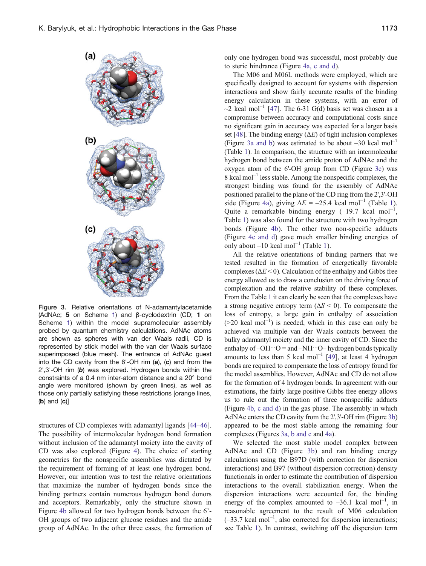<span id="page-7-0"></span>

Figure 3. Relative orientations of N-adamantylacetamide (AdNAc; 5 on Scheme [1](#page-3-0)) and β-cyclodextrin (CD; 1 on Scheme [1](#page-3-0)) within the model supramolecular assembly probed by quantum chemistry calculations. AdNAc atoms are shown as spheres with van der Waals radii, CD is represented by stick model with the van der Waals surface superimposed (blue mesh). The entrance of AdNAc guest into the CD cavity from the 6'-OH rim (a), (c) and from the 2',3'-OH rim (b) was explored. Hydrogen bonds within the constraints of a 0.4 nm inter-atom distance and a 20° bond angle were monitored (shown by green lines), as well as those only partially satisfying these restrictions [orange lines, (b) and (c)]

structures of CD complexes with adamantyl ligands [\[44](#page-11-0)–[46](#page-11-0)]. The possibility of intermolecular hydrogen bond formation without inclusion of the adamantyl moiety into the cavity of CD was also explored (Figure [4\)](#page-8-0). The choice of starting geometries for the nonspecific assemblies was dictated by the requirement of forming of at least one hydrogen bond. However, our intention was to test the relative orientations that maximize the number of hydrogen bonds since the binding partners contain numerous hydrogen bond donors and acceptors. Remarkably, only the structure shown in Figure [4b](#page-8-0) allowed for two hydrogen bonds between the 6'- OH groups of two adjacent glucose residues and the amide group of AdNAc. In the other three cases, the formation of only one hydrogen bond was successful, most probably due to steric hindrance (Figure [4a, c and d](#page-8-0)).

The M06 and M06L methods were employed, which are specifically designed to account for systems with dispersion interactions and show fairly accurate results of the binding energy calculation in these systems, with an error of  $\sim$ 2 kcal mol<sup>-1</sup> [[47\]](#page-11-0). The 6-31 G(d) basis set was chosen as a compromise between accuracy and computational costs since no significant gain in accuracy was expected for a larger basis set [\[48\]](#page-11-0). The binding energy  $(\Delta E)$  of tight inclusion complexes (Figure 3a and b) was estimated to be about  $-30$  kcal mol<sup>-1</sup> (Table [1\)](#page-5-0). In comparison, the structure with an intermolecular hydrogen bond between the amide proton of AdNAc and the oxygen atom of the 6'-OH group from CD (Figure 3c) was  $8 \text{ kcal mol}^{-1}$  less stable. Among the nonspecific complexes, the strongest binding was found for the assembly of AdNAc positioned parallel to the plane of the CD ring from the 2',3'-OH side (Figure [4a\)](#page-8-0), giving  $\Delta E = -25.4$  kcal mol<sup>-[1](#page-5-0)</sup> (Table 1). Quite a remarkable binding energy  $(-19.7 \text{ kcal mol}^{-1})$ , Table [1](#page-5-0)) was also found for the structure with two hydrogen bonds (Figure [4b](#page-8-0)). The other two non-specific adducts (Figure [4c and d\)](#page-8-0) gave much smaller binding energies of only about  $-10$  $-10$  $-10$  kcal mol<sup>-1</sup> (Table 1).

All the relative orientations of binding partners that we tested resulted in the formation of energetically favorable complexes ( $\Delta E$  < 0). Calculation of the enthalpy and Gibbs free energy allowed us to draw a conclusion on the driving force of complexation and the relative stability of these complexes. From the Table [1](#page-5-0) it can clearly be seen that the complexes have a strong negative entropy term  $(\Delta S \le 0)$ . To compensate the loss of entropy, a large gain in enthalpy of association  $($ >20 kcal mol<sup>-1</sup> $)$  is needed, which in this case can only be achieved via multiple van der Waals contacts between the bulky adamantyl moiety and the inner cavity of CD. Since the enthalpy of  $-OH$   $\cdot$   $O =$  and  $-NH$   $\cdot$   $O -$  hydrogen bonds typically amounts to less than 5 kcal mol<sup>-1</sup> [\[49\]](#page-11-0), at least 4 hydrogen bonds are required to compensate the loss of entropy found for the model assemblies. However, AdNAc and CD do not allow for the formation of 4 hydrogen bonds. In agreement with our estimations, the fairly large positive Gibbs free energy allows us to rule out the formation of three nonspecific adducts (Figure [4b, c and d\)](#page-8-0) in the gas phase. The assembly in which AdNAc enters the CD cavity from the 2',3'-OH rim (Figure 3b) appeared to be the most stable among the remaining four complexes (Figures 3a, b and c and [4a](#page-8-0)).

We selected the most stable model complex between AdNAc and CD (Figure 3b) and ran binding energy calculations using the B97D (with correction for dispersion interactions) and B97 (without dispersion correction) density functionals in order to estimate the contribution of dispersion interactions to the overall stabilization energy. When the dispersion interactions were accounted for, the binding energy of the complex amounted to  $-36.1$  kcal mol<sup>-1</sup>, in reasonable agreement to the result of M06 calculation  $(-33.7 \text{ kcal mol}^{-1})$ , also corrected for dispersion interactions; see Table [1](#page-5-0)). In contrast, switching off the dispersion term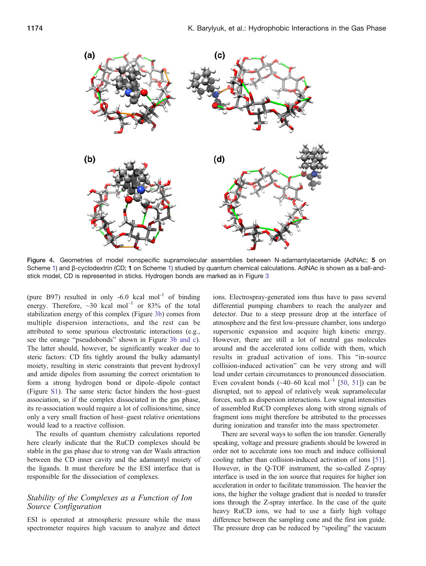<span id="page-8-0"></span>

Figure 4. Geometries of model nonspecific supramolecular assemblies between N-adamantylacetamide (AdNAc; 5 on Scheme [1\)](#page-3-0) and β-cyclodextrin (CD; 1 on Scheme [1\)](#page-3-0) studied by quantum chemical calculations. AdNAc is shown as a ball-andstick model, CD is represented in sticks. Hydrogen bonds are marked as in Figure [3](#page-7-0)

(pure B97) resulted in only  $-6.0$  kcal mol<sup>-1</sup> of binding energy. Therefore,  $\sim$ 30 kcal mol<sup>-1</sup> or 83% of the total stabilization energy of this complex (Figure [3b](#page-7-0)) comes from multiple dispersion interactions, and the rest can be attributed to some spurious electrostatic interactions (e.g., see the orange "pseudobonds" shown in Figure [3b and c](#page-7-0)). The latter should, however, be significantly weaker due to steric factors: CD fits tightly around the bulky adamantyl moiety, resulting in steric constraints that prevent hydroxyl and amide dipoles from assuming the correct orientation to form a strong hydrogen bond or dipole–dipole contact (Figure S1). The same steric factor hinders the host–guest association, so if the complex dissociated in the gas phase, its re-association would require a lot of collisions/time, since only a very small fraction of host–guest relative orientations would lead to a reactive collision.

The results of quantum chemistry calculations reported here clearly indicate that the RuCD complexes should be stable in the gas phase due to strong van der Waals attraction between the CD inner cavity and the adamantyl moiety of the ligands. It must therefore be the ESI interface that is responsible for the dissociation of complexes.

#### Stability of the Complexes as a Function of Ion Source Configuration

ESI is operated at atmospheric pressure while the mass spectrometer requires high vacuum to analyze and detect ions. Electrospray-generated ions thus have to pass several differential pumping chambers to reach the analyzer and detector. Due to a steep pressure drop at the interface of atmosphere and the first low-pressure chamber, ions undergo supersonic expansion and acquire high kinetic energy. However, there are still a lot of neutral gas molecules around and the accelerated ions collide with them, which results in gradual activation of ions. This "in-source collision-induced activation" can be very strong and will lead under certain circumstances to pronounced dissociation. Even covalent bonds  $(\sim40-60 \text{ kcal mol}^{-1}$  [[50,](#page-11-0) [51](#page-11-0)]) can be disrupted, not to appeal of relatively weak supramolecular forces, such as dispersion interactions. Low signal intensities of assembled RuCD complexes along with strong signals of fragment ions might therefore be attributed to the processes during ionization and transfer into the mass spectrometer.

There are several ways to soften the ion transfer. Generally speaking, voltage and pressure gradients should be lowered in order not to accelerate ions too much and induce collisional cooling rather than collision-induced activation of ions [[51](#page-11-0)]. However, in the Q-TOF instrument, the so-called Z-spray interface is used in the ion source that requires for higher ion acceleration in order to facilitate transmission. The heavier the ions, the higher the voltage gradient that is needed to transfer ions through the Z-spray interface. In the case of the quite heavy RuCD ions, we had to use a fairly high voltage difference between the sampling cone and the first ion guide. The pressure drop can be reduced by "spoiling" the vacuum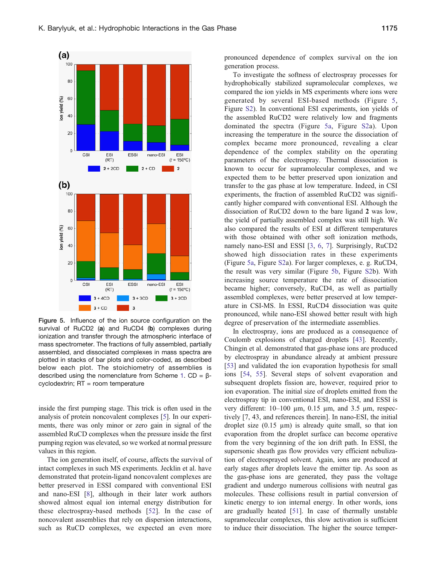

Figure 5. Influence of the ion source configuration on the survival of RuCD2 (a) and RuCD4 (b) complexes during ionization and transfer through the atmospheric interface of mass spectrometer. The fractions of fully assembled, partially assembled, and dissociated complexes in mass spectra are plotted in stacks of bar plots and color-coded, as described below each plot. The stoichiometry of assemblies is described using the nomenclature from Scheme [1.](#page-3-0)  $CD = β$ cyclodextrin; RT = room temperature

inside the first pumping stage. This trick is often used in the analysis of protein noncovalent complexes [[5\]](#page-10-0). In our experiments, there was only minor or zero gain in signal of the assembled RuCD complexes when the pressure inside the first pumping region was elevated, so we worked at normal pressure values in this region.

The ion generation itself, of course, affects the survival of intact complexes in such MS experiments. Jecklin et al. have demonstrated that protein-ligand noncovalent complexes are better preserved in ESSI compared with conventional ESI and nano-ESI [[8\]](#page-10-0), although in their later work authors showed almost equal ion internal energy distribution for these electrospray-based methods [[52\]](#page-11-0). In the case of noncovalent assemblies that rely on dispersion interactions, such as RuCD complexes, we expected an even more

pronounced dependence of complex survival on the ion generation process.

To investigate the softness of electrospray processes for hydrophobically stabilized supramolecular complexes, we compared the ion yields in MS experiments where ions were generated by several ESI-based methods (Figure 5, Figure S2). In conventional ESI experiments, ion yields of the assembled RuCD2 were relatively low and fragments dominated the spectra (Figure 5a, Figure S2a). Upon increasing the temperature in the source the dissociation of complex became more pronounced, revealing a clear dependence of the complex stability on the operating parameters of the electrospray. Thermal dissociation is known to occur for supramolecular complexes, and we expected them to be better preserved upon ionization and transfer to the gas phase at low temperature. Indeed, in CSI experiments, the fraction of assembled RuCD2 was significantly higher compared with conventional ESI. Although the dissociation of RuCD2 down to the bare ligand 2 was low, the yield of partially assembled complex was still high. We also compared the results of ESI at different temperatures with those obtained with other soft ionization methods, namely nano-ESI and ESSI [\[3](#page-10-0), [6,](#page-10-0) [7\]](#page-10-0). Surprisingly, RuCD2 showed high dissociation rates in these experiments (Figure 5a, Figure S2a). For larger complexes, e. g. RuCD4, the result was very similar (Figure 5b, Figure S2b). With increasing source temperature the rate of dissociation became higher; conversely, RuCD4, as well as partially assembled complexes, were better preserved at low temperature in CSI-MS. In ESSI, RuCD4 dissociation was quite pronounced, while nano-ESI showed better result with high degree of preservation of the intermediate assemblies.

In electrospray, ions are produced as a consequence of Coulomb explosions of charged droplets [[43\]](#page-11-0). Recently, Chingin et al. demonstrated that gas-phase ions are produced by electrospray in abundance already at ambient pressure [\[53](#page-11-0)] and validated the ion evaporation hypothesis for small ions [\[54](#page-11-0), [55\]](#page-11-0). Several steps of solvent evaporation and subsequent droplets fission are, however, required prior to ion evaporation. The initial size of droplets emitted from the electrospray tip in conventional ESI, nano-ESI, and ESSI is very different: 10–100 μm, 0.15 μm, and 3.5 μm, respectively [7, 43, and references therein]. In nano-ESI, the initial droplet size (0.15 μm) is already quite small, so that ion evaporation from the droplet surface can become operative from the very beginning of the ion drift path. In ESSI, the supersonic sheath gas flow provides very efficient nebulization of electrosprayed solvent. Again, ions are produced at early stages after droplets leave the emitter tip. As soon as the gas-phase ions are generated, they pass the voltage gradient and undergo numerous collisions with neutral gas molecules. These collisions result in partial conversion of kinetic energy to ion internal energy. In other words, ions are gradually heated [[51\]](#page-11-0). In case of thermally unstable supramolecular complexes, this slow activation is sufficient to induce their dissociation. The higher the source temper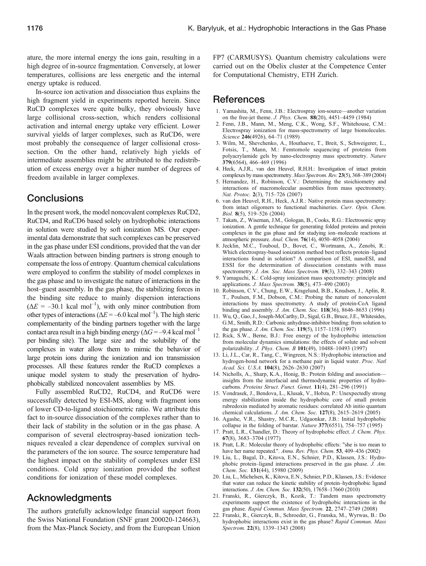<span id="page-10-0"></span>ature, the more internal energy the ions gain, resulting in a high degree of in-source fragmentation. Conversely, at lower temperatures, collisions are less energetic and the internal energy uptake is reduced.

In-source ion activation and dissociation thus explains the high fragment yield in experiments reported herein. Since RuCD complexes were quite bulky, they obviously have large collisional cross-section, which renders collisional activation and internal energy uptake very efficient. Lower survival yields of larger complexes, such as RuCD6, were most probably the consequence of larger collisional crosssection. On the other hand, relatively high yields of intermediate assemblies might be attributed to the redistribution of excess energy over a higher number of degrees of freedom available in larger complexes.

# **Conclusions**

In the present work, the model noncovalent complexes RuCD2, RuCD4, and RuCD6 based solely on hydrophobic interactions in solution were studied by soft ionization MS. Our experimental data demonstrate that such complexes can be preserved in the gas phase under ESI conditions, provided that the van der Waals attraction between binding partners is strong enough to compensate the loss of entropy. Quantum chemical calculations were employed to confirm the stability of model complexes in the gas phase and to investigate the nature of interactions in the host–guest assembly. In the gas phase, the stabilizing forces in the binding site reduce to mainly dispersion interactions  $(\Delta E = -30.1 \text{ kcal mol}^{-1})$ , with only minor contribution from other types of interactions ( $\Delta E = -6.0$  kcal mol<sup>-1</sup>). The high steric complementarity of the binding partners together with the large contact area result in a high binding energy ( $\Delta G = -9.4$  kcal mol<sup>-1</sup> per binding site). The large size and the solubility of the complexes in water allow them to mimic the behavior of large protein ions during the ionization and ion transmission processes. All these features render the RuCD complexes a unique model system to study the preservation of hydrophobically stabilized noncovalent assemblies by MS.

Fully assembled RuCD2, RuCD4, and RuCD6 were successfully detected by ESI-MS, along with fragment ions of lower CD-to-ligand stoichiometric ratio. We attribute this fact to in-source dissociation of the complexes rather than to their lack of stability in the solution or in the gas phase. A comparison of several electrospray-based ionization techniques revealed a clear dependence of complex survival on the parameters of the ion source. The source temperature had the highest impact on the stability of complexes under ESI conditions. Cold spray ionization provided the softest conditions for ionization of these model complexes.

## Acknowledgments

The authors gratefully acknowledge financial support from the Swiss National Foundation (SNF grant 200020-124663), from the Max-Planck Society, and from the European Union FP7 (CARMUSYS). Quantum chemistry calculations were carried out on the Obelix cluster at the Competence Center for Computational Chemistry, ETH Zurich.

### References

- 1. Yamashita, M., Fenn, J.B.: Electrospray ion-source—another variation on the free-jet theme. J. Phys. Chem. 88(20), 4451–4459 (1984)
- 2. Fenn, J.B., Mann, M., Meng, C.K., Wong, S.F., Whitehouse, C.M.: Electrospray ionization for mass-spectrometry of large biomolecules. Science 246(4926), 64-71 (1989)
- 3. Wilm, M., Shevchenko, A., Houthaeve, T., Breit, S., Schweigerer, L., Fotsis, T., Mann, M.: Femtomole sequencing of proteins from polyacrylamide gels by nano-electrospray mass spectrometry. Nature 379(6564), 466–469 (1996)
- 4. Heck, A.J.R., van den Heuvel, R.H.H.: Investigation of intact protein complexes by mass spectrometry. Mass Spectrom. Rev. 23(5), 368–389 (2004)
- 5. Hernandez, H., Robinson, C.V.: Determining the stoichiometry and interactions of macromolecular assemblies from mass spectrometry. Nat. Protoc. 2(3), 715–726 (2007)
- 6. van den Heuvel, R.H., Heck, A.J.R.: Native protein mass spectrometry: from intact oligomers to functional machineries. Curr. Opin. Chem. Biol. 8(5), 519–526 (2004)
- 7. Takats, Z., Wiseman, J.M., Gologan, B., Cooks, R.G.: Electrosonic spray ionization. A gentle technique for generating folded proteins and protein complexes in the gas phase and for studying ion–molecule reactions at atmospheric pressure. Anal. Chem. 76(14), 4050–4058 (2004)
- 8. Jecklin, M.C., Touboul, D., Bovet, C., Wortmann, A., Zenobi, R.: Which electrospray-based ionization method best reflects protein–ligand interactions found in solution? A comparison of ESI, nanoESI, and ESSI for the determination of dissociation constants with mass spectrometry. J. Am. Soc. Mass Spectrom. 19(3), 332–343 (2008)
- 9. Yamaguchi, K.: Cold-spray ionization mass spectrometry: principle and applications. J. Mass Spectrom. 38(5), 473–490 (2003)
- 10. Robinson, C.V., Chung, E.W., Kragelund, B.B., Knudsen, J., Aplin, R. T., Poulsen, F.M., Dobson, C.M.: Probing the nature of noncovalent interactions by mass spectrometry. A study of protein-CoA ligand binding and assembly.  $\hat{J}$ . Am. Chem. Soc. 118(36), 8646–8653 (1996)
- 11. Wu, Q., Gao, J., Joseph-McCarthy, D., Sigal, G.B., Bruce, J.E., Whitesides, G.M., Smith, R.D.: Carbonic anhydrase-inhibitor binding: from solution to the gas phase. J. Am. Chem. Soc. 119(5), 1157–1158 (1997)
- 12. Rick, S.W., Berne, B.J.: Free energy of the hydrophobic interaction from molecular dynamics simulations: the effects of solute and solvent polarizability. J. Phys. Chem. B 101(49), 10488–10493 (1997)
- 13. Li, J.L., Car, R., Tang, C., Wingreen, N.S.: Hydrophobic interaction and hydrogen-bond network for a methane pair in liquid water. Proc. Natl Acad. Sci. U.S.A. 104(8), 2626–2630 (2007)
- 14. Nicholls, A., Sharp, K.A., Honig, B.: Protein folding and association insights from the interfacial and thermodynamic properties of hydrocarbons. Proteins Struct. Funct. Genet. 11(4), 281–296 (1991)
- 15. Vondrasek, J., Bendova, L., Klusak, V., Hobza, P.: Unexpectedly strong energy stabilization inside the hydrophobic core of small protein rubredoxin mediated by aromatic residues: correlated Ab initio quantum chemical calculations. J. Am. Chem. Soc. 127(8), 2615–2619 (2005)
- 16. Agashe, V.R., Shastry, M.C.R., Udgaonkar, J.B.: Initial hydrophobic collapse in the folding of barstar. Nature 377(6551), 754–757 (1995)
- 17. Pratt, L.R., Chandler, D.: Theory of hydrophobic effect. J. Chem. Phys. 67(8), 3683–3704 (1977)
- 18. Pratt, L.R.: Molecular theory of hydrophobic effects: "she is too mean to have her name repeated.". Annu. Rev. Phys. Chem. 53, 409–436 (2002)
- 19. Liu, L., Bagal, D., Kitova, E.N., Schnier, P.D., Klassen, J.S.: Hydrophobic protein–ligand interactions preserved in the gas phase. J. Am. Chem. Soc. 131(44), 15980 (2009)
- 20. Liu, L., Michelsen, K., Kitova, E.N., Schnier, P.D., Klassen, J.S.: Evidence that water can reduce the kinetic stability of protein–hydrophobic ligand interactions. J. Am. Chem. Soc. 132(50), 17658–17660 (2010)
- 21. Franski, R., Gierczyk, B., Kozik, T.: Tandem mass spectrometry experiments support the existence of hydrophobic interactions in the gas phase. Rapid Commun. Mass Spectrom. 22, 2747–2749 (2008)
- 22. Franski, R., Gierczyk, B., Schroeder, G., Franska, M., Wyrwas, B.: Do hydrophobic interactions exist in the gas phase? Rapid Commun. Mass Spectrom. 22(8), 1339–1343 (2008)